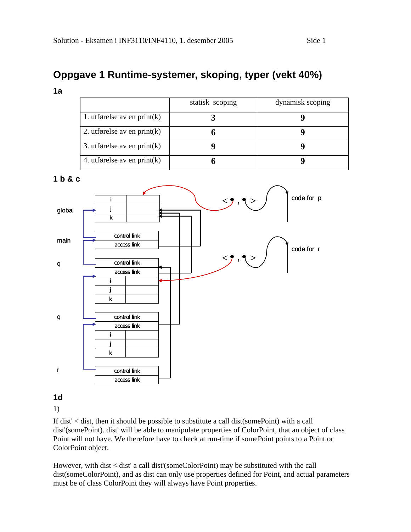# **Oppgave 1 Runtime-systemer, skoping, typer (vekt 40%)**

**1a** 

|                                | statisk scoping | dynamisk scoping |
|--------------------------------|-----------------|------------------|
| 1. utførelse av en print $(k)$ |                 |                  |
| 2. utførelse av en print $(k)$ |                 |                  |
| 3. utførelse av en print $(k)$ |                 |                  |
| 4. utførelse av en print $(k)$ |                 |                  |

**1 b & c** 



**1d** 

1)

If dist' < dist, then it should be possible to substitute a call dist(somePoint) with a call dist'(somePoint). dist' will be able to manipulate properties of ColorPoint, that an object of class Point will not have. We therefore have to check at run-time if somePoint points to a Point or ColorPoint object.

However, with dist < dist' a call dist'(someColorPoint) may be substituted with the call dist(someColorPoint), and as dist can only use properties defined for Point, and actual parameters must be of class ColorPoint they will always have Point properties.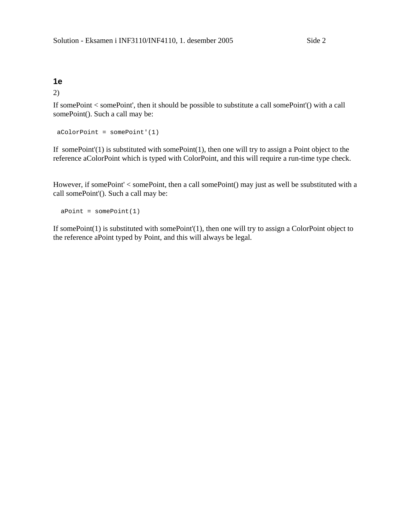## **1e**

2)

If somePoint < somePoint', then it should be possible to substitute a call somePoint'() with a call somePoint(). Such a call may be:

```
 aColorPoint = somePoint'(1)
```
If somePoint'(1) is substituted with somePoint(1), then one will try to assign a Point object to the reference aColorPoint which is typed with ColorPoint, and this will require a run-time type check.

However, if somePoint' < somePoint, then a call somePoint() may just as well be ssubstituted with a call somePoint'(). Such a call may be:

```
aPoint = somePoint(1)
```
If somePoint(1) is substituted with somePoint'(1), then one will try to assign a ColorPoint object to the reference aPoint typed by Point, and this will always be legal.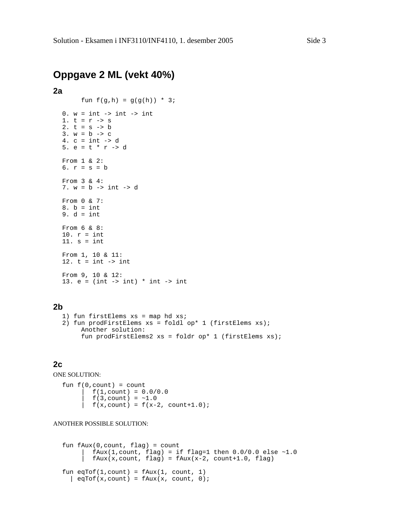# **Oppgave 2 ML (vekt 40%)**

## **2a**

fun  $f(g,h) = g(g(h)) * 3;$ 

```
0. w = int \rightarrow int \rightarrow int1. t = r \rightarrow s2. t = s \rightarrow b3. w = b \rightarrow c4. c = int -> d 
5. e = t * r \rightarrow dFrom 1 & 2: 
6. r = s = bFrom 3 & 4: 
7. w = b -> int -> d 
From 0 & 7: 
8. b = int9. d = intFrom 6 & 8: 
10. r = int 
11. s = intFrom 1, 10 & 11: 
12. t = int \rightarrow intFrom 9, 10 & 12: 
13. e = (int -> int) * int -> int
```
## **2b**

```
1) fun firstElems xs = map hd xs; 
2) fun prodFirstElems xs = foldl op* 1 (firstElems xs); 
      Another solution: 
      fun prodFirstElems2 xs = foldr op* 1 (firstElems xs);
```
## **2c**

ONE SOLUTION:

fun  $f(0, count) = count$  $f(1, count) = 0.0/0.0$  $f(3, count) = -1.0$  $f(x, count) = f(x-2, count+1.0);$ 

#### ANOTHER POSSIBLE SOLUTION:

```
fun fAux(0,count, flag) = count 
        fAux(1,count, flag) = if flag=1 then 0.0/0.0 else ~1.0fAux(x,count, flag) = fAux(x-2, count+1.0, flag)fun eqTof(1,count) = fAux(1, count, 1)\vert eqTof(x,count) = fAux(x, count, 0);
```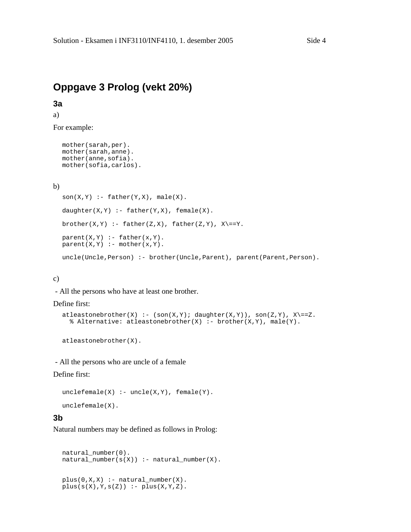# **Oppgave 3 Prolog (vekt 20%)**

# **3a**

a)

For example:

```
mother(sarah,per). 
mother(sarah,anne). 
mother(anne,sofia). 
mother(sofia,carlos).
```
## b)

```
son(X,Y) :- father(Y,X), male(X).
daughter(X, Y) :- father(Y, X), female(X).
brother(X,Y) :- father(Z,X), father(Z,Y), X\==Y.
parent(X,Y) :- father(x,Y).parent(X,Y) :- mother(x,Y).uncle(Uncle,Person) :- brother(Uncle,Parent), parent(Parent,Person).
```
## c)

- All the persons who have at least one brother.

#### Define first:

```
attleastonebrother(X) :- (son(X,Y); daughter(X,Y)), son(Z,Y), X\rangle == Z.% Alternative: atleastonebrother(X) :- brother(X,Y), male(Y).
```
atleastonebrother(X).

- All the persons who are uncle of a female

## Define first:

```
uncleftemale(X) :- uncle(X,Y), female(Y).
```
## unclefemale(X).

## **3b**

Natural numbers may be defined as follows in Prolog:

```
natural_number(0). 
natural\_number(s(X)) :- natural\_number(X).
plus(0,X,X) :- natural_number(X).
plus(s(X),Y,s(Z)) :- plus(X,Y,Z).
```